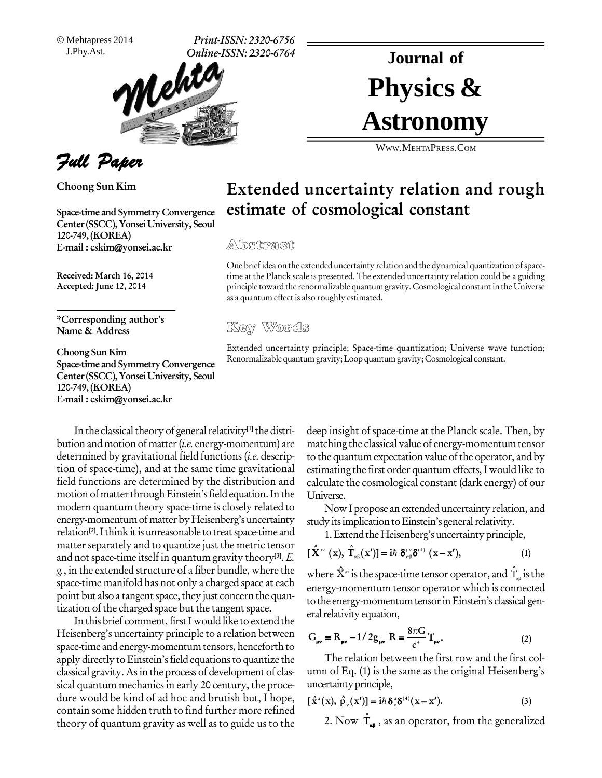Mehtapress 2014

J.Phy.Ast. **Print-ISSN: 2320-6756 Online-ISSN: 2320-6764**



Physics & **Journal of Astronomy**

WWW.M[EHTA](http://WWW.MEHTAPRESS.COM)PRESS.COM

## **Extended uncertainty relation and rough estimate of cosmological constant**

## Albsitracit

One brief idea on the extended uncertainty relation and the dynamical quantization of space-<br>time at the Planck scale is presented. The extended uncertainty relation could be a guiding<br>principle toward the renormalizable time at the Planck scale is presented. The extended uncertainty relation could be a guiding principle toward the renormalizable quantum gravity.Cosmological constantin the Universe as a quantum effect is also roughly estimated.

Extended uncertainty principle; Space-time quantization; Universe wave function; Renormalizable quantum gravity;Loop quantum gravity; Cosmological constant.

In the classical theory of general relativity<sup>[1]</sup> the distri- de bution and motion of matter (*i.e.* energy-momentum) are determined by gravitational field functions (*i.e.* description of space-time), and at the same time gravitational field functions are determined by the distribution and motion of matter through Einstein's field equation. In the modern quantum theory space-time is closely related to energy-momentum of matter by Heisenberg's uncertainty relation<sup>[2]</sup>. I think it is unreasonable to treat space-time and  $\qquad \qquad 1.1$ matter separately and to quantize just the metric tensor and not space-time itself in quantum gravity theory<sup>[3]</sup>. E.  $\quad$  L  $^{\prime}$ g., in the extended structure of a fiber bundle, where the space-time manifold has not only a charged space at each point but also a tangent space, they just concern the quantization of the charged space but the tangent space.

In this brief comment, first I would like to extend the Heisenberg's uncertainty principle to a relation between space-time and energy-momentum tensors, henceforth to apply directly to Einstein's field equations to quantize the classical gravity. Asin the process of development of clas sical quantum mechanics in early 20 century, the procedure would be kind of ad hoc and brutish but, I hope, contain some hidden truth to find further more refined theory of quantum gravity as well as to guide us to the deep insight of space-time at the Planck scale. Then, by matching the classical value of energy-momentum tensor to the quantum expectation value of the operator, and by estimating the first order quantum effects,I would like to calculate the cosmological constant (dark energy) of our Universe.

Now I propose an extended uncertainty relation, and study its implication to Einstein's general relativity.

1. Extend the Heisenberg's uncertainty principle,  
\n
$$
[\hat{\mathbf{X}}^{\mu\nu}(\mathbf{x}), \hat{\mathbf{T}}_{\alpha\beta}(\mathbf{x}')] = i\hbar \, \delta^{\mu\nu}_{\alpha\beta} \delta^{(4)}(\mathbf{x} - \mathbf{x}'), \qquad (1)
$$

where X**à** isthe space-time tensor operator, and T·' **à** isthe energy-momentum tensor operator which is connected to the energy-momentum tensor in Einstein's classical general relativity equation,

eral relativity equation,  
\n
$$
G_{\mu\nu} = R_{\mu\nu} - 1/2g_{\mu\nu} R = \frac{8\pi G}{c^4} T_{\mu\nu}.
$$
\n(2)

The relation between the first row and the first column of Eq. (1) is the same as the original Heisenberg's<br>uncertainty principle,<br> $[\hat{x}^{\mu}(x), \hat{p}^{\mu}(x')] = i\hbar \delta^{\mu} \delta^{(4)}(x - x').$  (3) uncertainty principle,<br>  $[\hat{x}^{\mu}(x), \hat{p}(x')] = i\hbar \delta^{\mu} \delta^{(4)}(x)$ 

uncertainty principle,

\n
$$
[\hat{\mathbf{x}}^{\mu}(\mathbf{x}), \hat{\mathbf{p}}_{\nu}(\mathbf{x}')] = i\hbar \, \delta^{\mu}_{\nu} \delta^{(4)}(\mathbf{x} - \mathbf{x}'). \tag{3}
$$

2. Now  $\hat{\mathbf{T}}_{\mathbf{a}\mathbf{s}}$  , as an operator, from the generalized



**Choong Sun Kim**

**Space-time and Symmetry Convergence Center (SSCC),Yonsei University, Seoul 120-749,(KOREA) E-mail : [cskim@yonsei.ac.kr](mailto:cskim@yonsei.ac.kr)**

**Received: March 16, 2014 Accepted: June 12, 2014**

**\*Corresponding authorís Name & Address**

**Choong Sun Kim Space-time and Symmetry Convergence Center (SSCC),Yonsei University, Seoul 120-749,(KOREA) E-mail : [cskim@yonsei.ac.kr](mailto:cskim@yonsei.ac.kr)**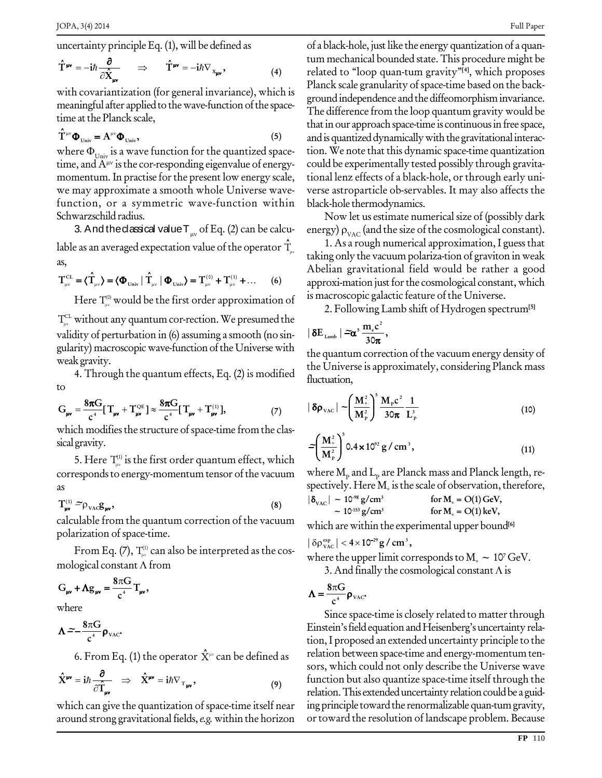$\cdot$ 

uncertainty principle Eq. (1), will be defined as  
\n
$$
\hat{T}^{\mu\nu} = -i\hbar \frac{\partial}{\partial \hat{X}_{\mu\nu}} \implies \hat{T}^{\mu\nu} = -i\hbar \nabla_{x_{\mu\nu}},
$$
\n(4)

with covariantization (for general invariance), which is meaningful after applied to the wave-function of the spacetime at the Planck scale,<br>  $\hat{T}^{\mu\nu}\Phi_{\nu n\nu} = A^{\mu\nu}\Phi_{\nu n\nu}$ , (5)

$$
\hat{\mathbf{T}}^{\mu\nu}\mathbf{\Phi}_{\text{Univ}} = \mathbf{A}^{\mu\nu}\mathbf{\Phi}_{\text{Univ}},\tag{5}
$$

the at the Franck scale, the three  $\hat{\mathbf{T}}^{\text{uv}}\mathbf{\Phi}_{\text{Univ}} = \mathbf{A}^{\text{uv}}\mathbf{\Phi}_{\text{Univ}}$ , (5) and where  $\mathbf{\Phi}_{\text{Univ}}$  is a wave function for the quantized space-time, and  $\mathbf{A}^{\text{uv}}$  is the cor-responding eigenvalue of time, and  $A^{\mu\nu}$  is the cor-responding eigenvalue of energymomentum. In practise for the present low energy scale, we may approximate a smooth whole Universe wave function, or a symmetric wave-function within Schwarzschild radius.

warzscniid radius.<br>3. And the dassical value T<sub>iv</sub> of Eq. (2) can be calcu- er lable as an averaged expectation value of the operator  $\hat{\bm{\Upsilon}}$   $\bm{\cdot}$   $\bm{\cdot}$ as,  $\mathbf{L} = \mathbf{r} \hat{\mathbf{T}}$  $\langle \hat{\rm T}_{_{\rm uv}} \rangle$  =  $\langle \Phi_{_{\rm Univ}}|$ **0)**  $\begin{array}{ccc}\n & \text{takin} \\
\text{1} & \text{takin} \\
\text{2} & \text{th} \\
\text{2} & \text{th} \\
\text{3} & \text{tath}\n\end{array}$ 

as,  
\n
$$
T_{\mu\nu}^{CL} = \langle \hat{T}_{\mu\nu} \rangle = \langle \Phi_{\text{Univ}} | \hat{T}_{\mu\nu} | \Phi_{\text{Univ}} \rangle = T_{\mu\nu}^{(0)} + T_{\mu\nu}^{(1)} + \dots \quad (6)
$$

Here  $\mathsf{T}^\text{\tiny{(0)}}_\text{\tiny{\tiny{UV}}}$  would be the first order approximation of  $\;\;\;\;^{1S \;\rm{m} a}$  ${\rm T}_{\!\scriptscriptstyle\rm W}^{\rm CL}$  without any quantum cor-rection. We presumed the validity of perturbation in (6) assuming a smooth (no sin gularity) macroscopic wave-function of the Universe with weak gravity.

4. Through the quantum effects, Eq.  $(2)$  is modified fluctuat to

to  
\n
$$
G_{\mu\nu} = \frac{8\pi G}{c^4} [T_{\mu\nu} + T_{\mu\nu}^{\text{QE}}] \approx \frac{8\pi G}{c^4} [T_{\mu\nu} + T_{\mu\nu}^{(1)}],
$$
\n(7)

which modifies the structure of space-time from the classicalgravity.

5. Here  $T^{(1)}_{\mu\nu}$  is the first order quantum effect, which  $T^{(N)}_{\mu\nu}$  . corresponds to energy-momentum tensor of the vacuum where  $M_p$  and<br>
as spectively. H<br>  $T_w^{(1)} \approx \rho_{\text{vac}} g_w$ , (8)  $|\delta_{\text{vac}}| \sim 10^{-98}$ as

$$
T_{\mu\nu}^{(1)} \tilde{\frown} \rho_{\text{VAC}} g_{\mu\nu}, \qquad (8)
$$

calculable from the quantum correction of the vacuum polarization of space-time.

From Eq. (7),  $T_{\omega}^{(1)}$  can also be interpreted as the cospolarization of space-time.<br>From Eq. (7), Tu, can also be interpret<br>mological constant  $\Lambda$  from <sup>V</sup>

mological constant 
$$
\Lambda
$$
 from  

$$
G_{\mu\nu} + \Lambda g_{\mu\nu} = \frac{8\pi G}{c^4} T_{\mu\nu},
$$

where

where  $\Lambda \approx -\frac{8\pi G}{c^4} \rho_{\text{vac}}$ 

6. From Eq. (1) the operator 
$$
\hat{X}^{\mu\nu}
$$
 can be defined as  
\n
$$
\hat{X}^{\mu\nu} = i\hbar \frac{\partial}{\partial \hat{T}_{\mu\nu}} \Rightarrow \hat{X}^{\mu\nu} = i\hbar \nabla_{T_{\mu\nu}},
$$
\n(9)

which can give the quantization of space-time itself near around strong gravitational fields,  $e.g.$  within the horizon of a black-hole, justlike the energy quantization of a quan tum mechanical bounded state.This procedure might be related to "loop quan-tum gravity"<sup>[4]</sup>, which proposes Planck scale granularity of space-time based on the background independence and the diffeomorphism invariance. The difference from the loop quantum gravity would be that in our approach space-time is continuous in free space, and is quantized dynamically with the gravitational interaction. We note that this dynamic space-time quantization could be experimentally tested possibly through gravita tional lenz effects of a black-hole, or through early universe astroparticle observables. It may also affects the black-hole thermodynamics.

Now let us estimate numerical size of (possibly dark black-hole thermodynamics.<br>Now let us estimate numerical size of (possibly dark<br>energy)  $\rho_{\text{vac}}$  (and the size of the cosmological constant).

1. As a rough numerical approximation, I guessthat taking only the vacuum polariza-tion of graviton in weak Abelian gravitational field would be rather a good approxi-mation just for the cosmological constant, which is macroscopic galactic feature of the Universe.

2. Following Lamb shift of Hydrogen spectrum<sup>[5]</sup><br>. . .  $\mathbf{z} = \mathbf{a} \cdot \frac{\mathbf{m}_e \mathbf{c}^2}{2}$ .

$$
|\delta E_{\text{Lamb}}| = \alpha^5 \frac{m_e c^2}{30\pi},
$$

the quantum correction of the vacuum energy density of the Universe is approximately, considering Planck mass fluctuation, uctuation,<br> $(M_1^2)^5$ 

$$
|\delta \rho_{\text{vac}}| \sim \left(\frac{M_{*}^{2}}{M_{p}^{2}}\right)^{5} \frac{M_{p}c^{2}}{30\pi} \frac{1}{L_{p}^{3}}
$$
 (10)

$$
=\left(\frac{M_{\circ}^2}{M_{\rm p}^2}\right)^5 0.4 \times 10^{92} \text{ g/cm}^3,
$$
 (11)

where  $M_p$  and  $L_p$  are Planck mass and Planck length, respectively. Here  $M_*$  is the scale of observation, therefore,  $|\delta_{\text{vac}}| \sim 10^{38} \text{ g/cm}^3$  for  $M_* = O(1)$  GeV,

$$
\begin{aligned}\n\left|\delta_{\text{vac}}\right| &\sim 10^{98} \,\text{g/cm}^3 & \qquad \text{for } M_* = O(1) \,\text{GeV}, \\
&\sim 10^{153} \,\text{g/cm}^3 & \qquad \text{for } M_* = O(1) \,\text{keV},\n\end{aligned}
$$

which are within the experimental upper bound **[6]** which are within the e

$$
|\,\delta\rho^{\,\rm exp}_{\rm vac}\,|<4\times10^{29}\,g\,/\,cm^{\,3}\,,
$$

where the upper limit corresponds to  $\rm M_{*}\sim 10^7\,GeV.$  $\frac{\text{exp}\left(1+\text{e}+2\right)\text{exp}\left(1-\text{e}+2\right)}{\text{exp}\left(1-\text{e}+2\right)}$ <br>3. And finally the cosmological constant  $\Lambda$  is

3. And finally the cosmological constant  $\Lambda$  is

$$
\Lambda = \frac{8\pi G}{c^4} \rho_{\rm vac}.
$$

Since space-time is closely related to matter through Einstein's field equation and Heisenberg's uncertainty relation,I proposed an extended uncertainty principle to the relation between space-time and energy-momentum ten sors, which could not only describe the Universe wave function but also quantize space-time itself through the relation. This extended uncertainty relation could be a guiding principle toward the renormalizable quan-tum gravity, ortoward the resolution of landscape problem. Because